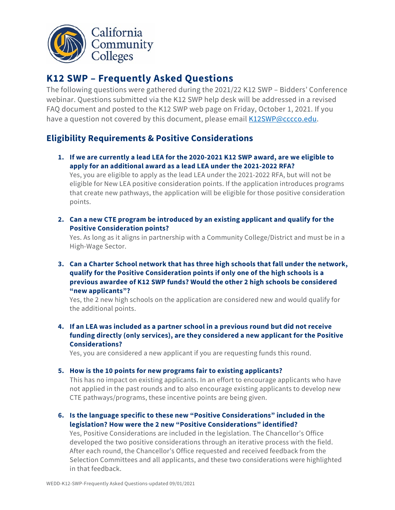

# **K12 SWP – Frequently Asked Questions**

The following questions were gathered during the 2021/22 K12 SWP – Bidders' Conference webinar. Questions submitted via the K12 SWP help desk will be addressed in a revised FAQ document and posted to the K12 SWP web page on Friday, October 1, 2021. If you have a question not covered by this document, please email [K12SWP@cccco.edu.](mailto:K12SWP@cccco.edu)

## **Eligibility Requirements & Positive Considerations**

**1. If we are currently a lead LEA for the 2020-2021 K12 SWP award, are we eligible to apply for an additional award as a lead LEA under the 2021-2022 RFA?**

Yes, you are eligible to apply as the lead LEA under the 2021-2022 RFA, but will not be eligible for New LEA positive consideration points. If the application introduces programs that create new pathways, the application will be eligible for those positive consideration points.

**2. Can a new CTE program be introduced by an existing applicant and qualify for the Positive Consideration points?**

Yes. As long as it aligns in partnership with a Community College/District and must be in a High-Wage Sector.

**3. Can a Charter School network that has three high schools that fall under the network, qualify for the Positive Consideration points if only one of the high schools is a previous awardee of K12 SWP funds? Would the other 2 high schools be considered "new applicants"?**

Yes, the 2 new high schools on the application are considered new and would qualify for the additional points.

**4. If an LEA was included as a partner school in a previous round but did not receive funding directly (only services), are they considered a new applicant for the Positive Considerations?**

Yes, you are considered a new applicant if you are requesting funds this round.

**5. How is the 10 points for new programs fair to existing applicants?**

This has no impact on existing applicants. In an effort to encourage applicants who have not applied in the past rounds and to also encourage existing applicants to develop new CTE pathways/programs, these incentive points are being given.

**6. Is the language specific to these new "Positive Considerations" included in the legislation? How were the 2 new "Positive Considerations" identified?**

Yes, Positive Considerations are included in the legislation. The Chancellor's Office developed the two positive considerations through an iterative process with the field. After each round, the Chancellor's Office requested and received feedback from the Selection Committees and all applicants, and these two considerations were highlighted in that feedback.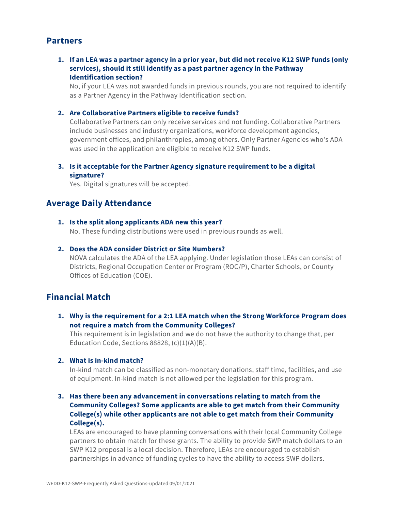### **Partners**

#### **1. If an LEA was a partner agency in a prior year, but did not receive K12 SWP funds (only services), should it still identify as a past partner agency in the Pathway Identification section?**

No, if your LEA was not awarded funds in previous rounds, you are not required to identify as a Partner Agency in the Pathway Identification section.

#### **2. Are Collaborative Partners eligible to receive funds?**

Collaborative Partners can only receive services and not funding. Collaborative Partners include businesses and industry organizations, workforce development agencies, government offices, and philanthropies, among others. Only Partner Agencies who's ADA was used in the application are eligible to receive K12 SWP funds.

#### **3. Is it acceptable for the Partner Agency signature requirement to be a digital signature?**

Yes. Digital signatures will be accepted.

## **Average Daily Attendance**

#### **1. Is the split along applicants ADA new this year?**

No. These funding distributions were used in previous rounds as well.

#### **2. Does the ADA consider District or Site Numbers?**

NOVA calculates the ADA of the LEA applying. Under legislation those LEAs can consist of Districts, Regional Occupation Center or Program (ROC/P), Charter Schools, or County Offices of Education (COE).

## **Financial Match**

**1. Why is the requirement for a 2:1 LEA match when the Strong Workforce Program does not require a match from the Community Colleges?** 

This requirement is in legislation and we do not have the authority to change that, per Education Code, Sections 88828, (c)(1)(A)(B).

#### **2. What is in-kind match?**

In-kind match can be classified as non-monetary donations, staff time, facilities, and use of equipment. In-kind match is not allowed per the legislation for this program.

#### **3. Has there been any advancement in conversations relating to match from the Community Colleges? Some applicants are able to get match from their Community College(s) while other applicants are not able to get match from their Community College(s).**

LEAs are encouraged to have planning conversations with their local Community College partners to obtain match for these grants. The ability to provide SWP match dollars to an SWP K12 proposal is a local decision. Therefore, LEAs are encouraged to establish partnerships in advance of funding cycles to have the ability to access SWP dollars.